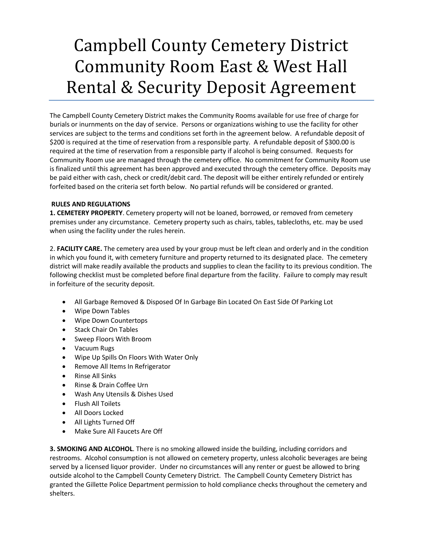## Campbell County Cemetery District Community Room East & West Hall Rental & Security Deposit Agreement

The Campbell County Cemetery District makes the Community Rooms available for use free of charge for burials or inurnments on the day of service. Persons or organizations wishing to use the facility for other services are subject to the terms and conditions set forth in the agreement below. A refundable deposit of \$200 is required at the time of reservation from a responsible party. A refundable deposit of \$300.00 is required at the time of reservation from a responsible party if alcohol is being consumed. Requests for Community Room use are managed through the cemetery office. No commitment for Community Room use is finalized until this agreement has been approved and executed through the cemetery office. Deposits may be paid either with cash, check or credit/debit card. The deposit will be either entirely refunded or entirely forfeited based on the criteria set forth below. No partial refunds will be considered or granted.

## **RULES AND REGULATIONS**

**1. CEMETERY PROPERTY**. Cemetery property will not be loaned, borrowed, or removed from cemetery premises under any circumstance. Cemetery property such as chairs, tables, tablecloths, etc. may be used when using the facility under the rules herein.

2. **FACILITY CARE.** The cemetery area used by your group must be left clean and orderly and in the condition in which you found it, with cemetery furniture and property returned to its designated place. The cemetery district will make readily available the products and supplies to clean the facility to its previous condition. The following checklist must be completed before final departure from the facility. Failure to comply may result in forfeiture of the security deposit.

- All Garbage Removed & Disposed Of In Garbage Bin Located On East Side Of Parking Lot
- Wipe Down Tables
- Wipe Down Countertops
- Stack Chair On Tables
- Sweep Floors With Broom
- Vacuum Rugs
- Wipe Up Spills On Floors With Water Only
- Remove All Items In Refrigerator
- Rinse All Sinks
- Rinse & Drain Coffee Urn
- Wash Any Utensils & Dishes Used
- Flush All Toilets
- All Doors Locked
- All Lights Turned Off
- Make Sure All Faucets Are Off

**3. SMOKING AND ALCOHOL**. There is no smoking allowed inside the building, including corridors and restrooms. Alcohol consumption is not allowed on cemetery property, unless alcoholic beverages are being served by a licensed liquor provider. Under no circumstances will any renter or guest be allowed to bring outside alcohol to the Campbell County Cemetery District. The Campbell County Cemetery District has granted the Gillette Police Department permission to hold compliance checks throughout the cemetery and shelters.